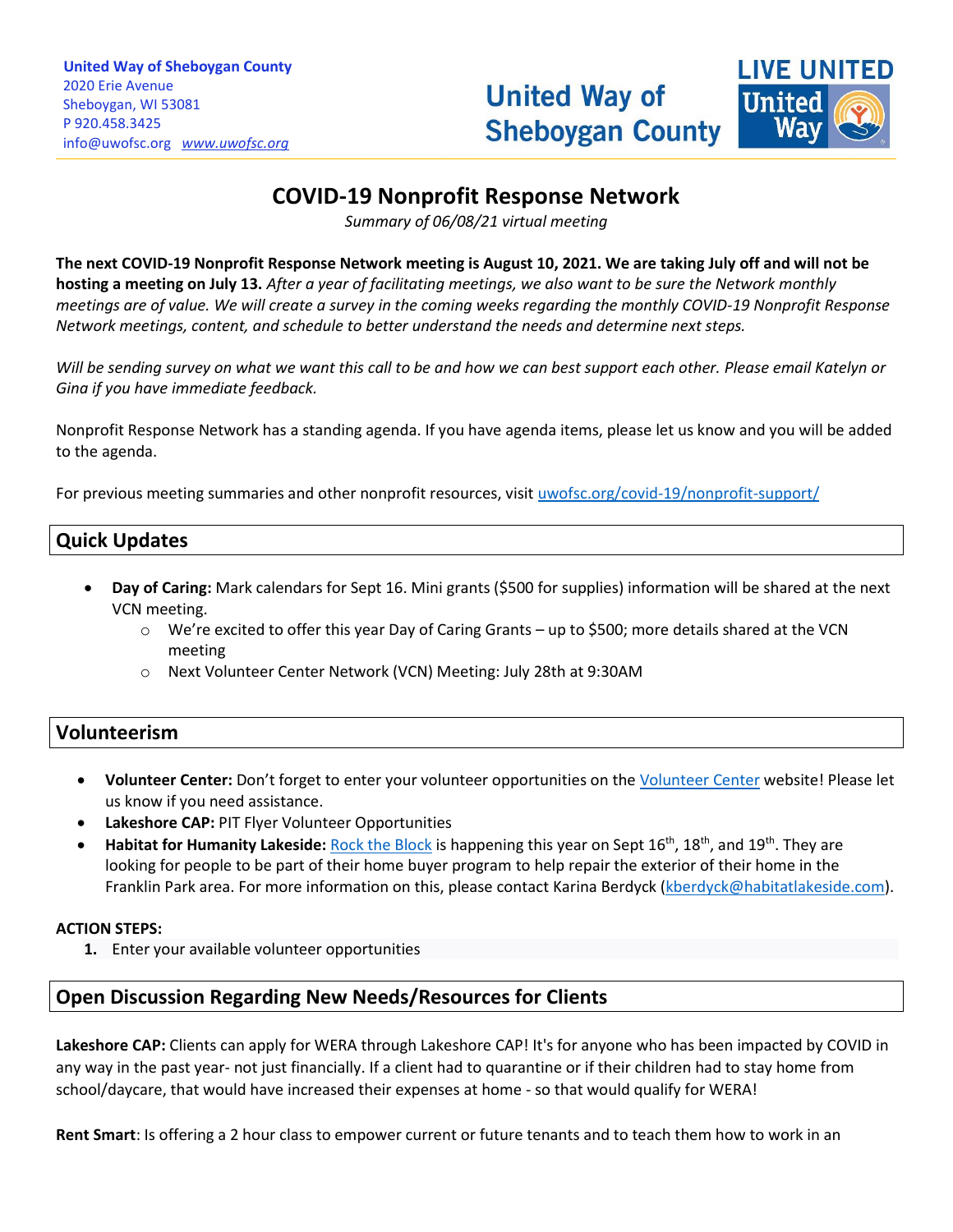

# **COVID-19 Nonprofit Response Network**

*Summary of 06/08/21 virtual meeting*

**The next COVID-19 Nonprofit Response Network meeting is August 10, 2021. We are taking July off and will not be hosting a meeting on July 13.** *After a year of facilitating meetings, we also want to be sure the Network monthly meetings are of value. We will create a survey in the coming weeks regarding the monthly COVID-19 Nonprofit Response Network meetings, content, and schedule to better understand the needs and determine next steps.* 

*Will be sending survey on what we want this call to be and how we can best support each other. Please email Katelyn or Gina if you have immediate feedback.*

Nonprofit Response Network has a standing agenda. If you have agenda items, please let us know and you will be added to the agenda.

For previous meeting summaries and other nonprofit resources, visit [uwofsc.org/covid-19/nonprofit-support/](http://www.uwofsc.org/covid-19/nonprofit-support/)

## **Quick Updates**

- **Day of Caring:** Mark calendars for Sept 16. Mini grants (\$500 for supplies) information will be shared at the next VCN meeting.
	- o We're excited to offer this year Day of Caring Grants up to \$500; more details shared at the VCN meeting
	- o Next Volunteer Center Network (VCN) Meeting: July 28th at 9:30AM

### **Volunteerism**

- **Volunteer Center:** Don't forget to enter your volunteer opportunities on the [Volunteer Center](https://volunteersheboygan.galaxydigital.com/volunteer-center-network-resources/) website! Please let us know if you need assistance.
- **Lakeshore CAP:** PIT Flyer Volunteer Opportunities
- **Habitat for Humanity Lakeside:** [Rock the Block](file://///sauw03/company/Shared%20Drive/Disaster%20Relief%20Info/COVID-19/COVID-19%20Nonprofit%20Response%20Network/2021/5.11.21/2021%20RTB%20Flyer%20%232%20(are%20you%20in%20need%20of%20a%20home%20repair%20-%20project%20recruitment).pdf) is happening this year on Sept 16th, 18th, and 19th. They are looking for people to be part of their home buyer program to help repair the exterior of their home in the Franklin Park area. For more information on this, please contact Karina Berdyck [\(kberdyck@habitatlakeside.com\)](mailto:kberdyck@habitatlakeside.com).

#### **ACTION STEPS:**

**1.** Enter your available volunteer opportunities

# **Open Discussion Regarding New Needs/Resources for Clients**

**Lakeshore CAP:** Clients can apply for WERA through Lakeshore CAP! It's for anyone who has been impacted by COVID in any way in the past year- not just financially. If a client had to quarantine or if their children had to stay home from school/daycare, that would have increased their expenses at home - so that would qualify for WERA!

**Rent Smart**: Is offering a 2 hour class to empower current or future tenants and to teach them how to work in an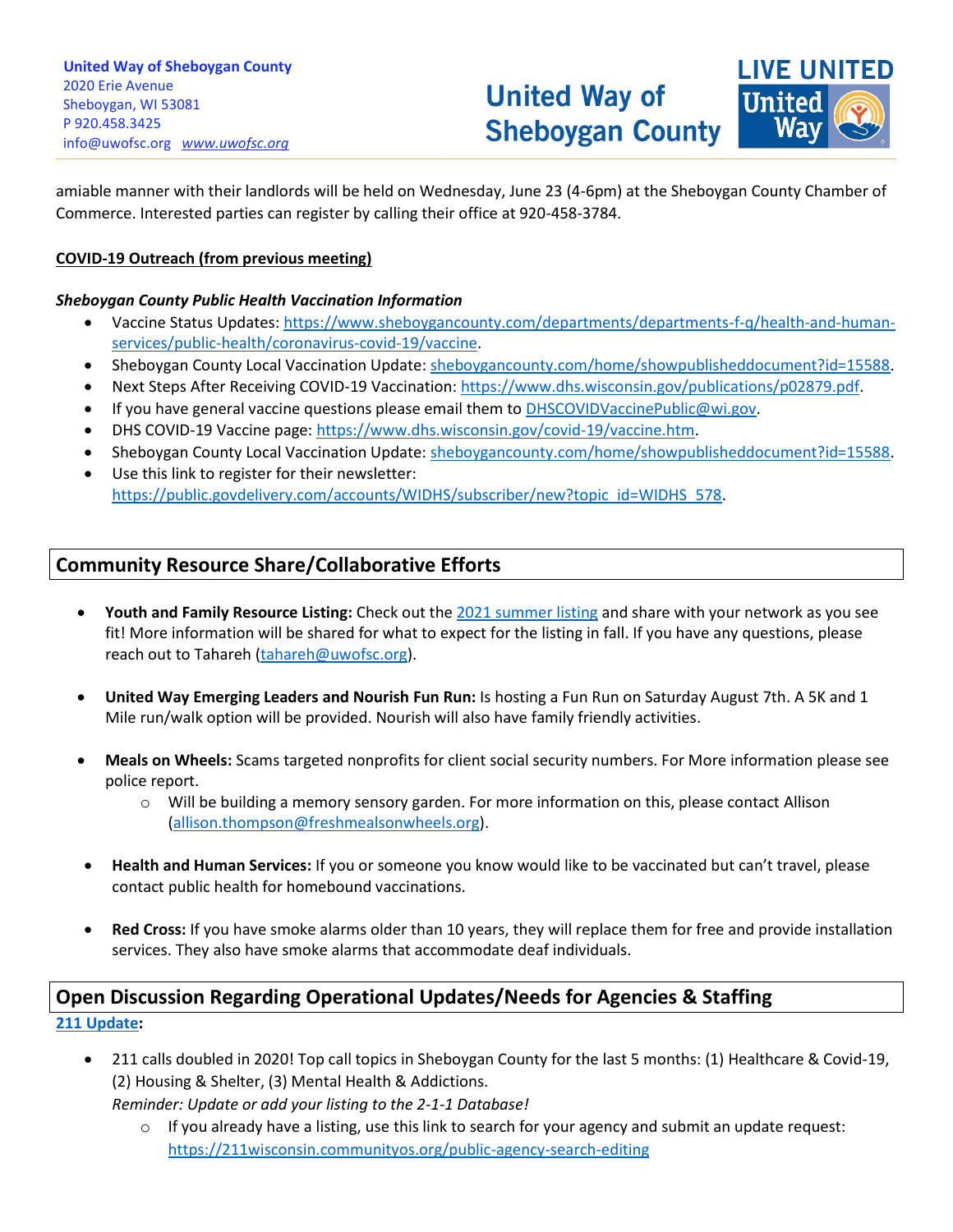**LIVE UNITED** United

amiable manner with their landlords will be held on Wednesday, June 23 (4-6pm) at the Sheboygan County Chamber of Commerce. Interested parties can register by calling their office at 920-458-3784.

\_\_\_\_\_\_\_\_\_\_\_\_\_\_\_\_\_\_\_\_\_\_\_\_\_\_\_\_\_\_\_\_\_\_\_\_\_\_\_\_\_\_\_\_\_\_\_\_\_\_\_\_\_\_\_\_\_\_\_\_\_\_\_\_\_\_\_\_\_\_\_\_\_\_\_\_\_\_\_\_\_\_\_\_\_\_\_\_\_\_\_\_\_\_\_\_\_\_\_\_\_\_\_\_\_\_\_\_\_\_\_\_\_\_\_\_\_\_\_\_\_\_\_\_\_\_\_\_\_\_\_\_\_\_\_\_\_\_\_\_\_\_\_\_\_\_\_\_\_\_\_\_\_\_\_\_\_\_\_\_\_\_\_\_\_\_\_\_\_\_\_\_\_\_\_\_\_\_\_\_\_\_\_\_\_\_\_\_\_\_\_\_\_\_\_\_\_\_\_\_\_\_\_\_\_\_\_\_\_\_\_\_\_\_\_\_\_\_\_\_\_\_\_\_\_\_\_\_\_\_\_\_\_\_\_\_\_\_\_\_\_\_\_\_\_\_\_\_\_\_\_\_\_\_\_\_\_\_\_\_\_\_\_\_\_\_\_\_\_\_\_

#### **COVID-19 Outreach (from previous meeting)**

#### *Sheboygan County Public Health Vaccination Information*

- Vaccine Status Updates: [https://www.sheboygancounty.com/departments/departments-f-q/health-and-human](https://www.sheboygancounty.com/departments/departments-f-q/health-and-human-services/public-health/coronavirus-covid-19/vaccine)[services/public-health/coronavirus-covid-19/vaccine.](https://www.sheboygancounty.com/departments/departments-f-q/health-and-human-services/public-health/coronavirus-covid-19/vaccine)
- Sheboygan County Local Vaccination Update[: sheboygancounty.com/home/showpublisheddocument?id=15588.](https://www.sheboygancounty.com/home/showpublisheddocument?id=15588)
- Next Steps After Receiving COVID-19 Vaccination: [https://www.dhs.wisconsin.gov/publications/p02879.pdf.](https://www.dhs.wisconsin.gov/publications/p02879.pdf)
- If you have general vaccine questions please email them to **DHSCOVIDVaccinePublic@wi.gov.**
- DHS COVID-19 Vaccine page: [https://www.dhs.wisconsin.gov/covid-19/vaccine.htm.](https://www.dhs.wisconsin.gov/covid-19/vaccine.htm)
- Sheboygan County Local Vaccination Update[: sheboygancounty.com/home/showpublisheddocument?id=15588.](https://www.sheboygancounty.com/home/showpublisheddocument?id=15588)
- Use this link to register for their newsletter: [https://public.govdelivery.com/accounts/WIDHS/subscriber/new?topic\\_id=WIDHS\\_578.](https://public.govdelivery.com/accounts/WIDHS/subscriber/new?topic_id=WIDHS_578)

## **Community Resource Share/Collaborative Efforts**

- **Youth and Family Resource Listing:** Check out the [2021 summer listing](https://uwofsc.org/assets/Uploads/Summer-2021.pdf) and share with your network as you see fit! More information will be shared for what to expect for the listing in fall. If you have any questions, please reach out to Tahareh [\(tahareh@uwofsc.org\)](mailto:tahareh@uwofsc.org).
- **United Way Emerging Leaders and Nourish Fun Run:** Is hosting a Fun Run on Saturday August 7th. A 5K and 1 Mile run/walk option will be provided. Nourish will also have family friendly activities.
- **Meals on Wheels:** Scams targeted nonprofits for client social security numbers. For More information please see police report.
	- $\circ$  Will be building a memory sensory garden. For more information on this, please contact Allison [\(allison.thompson@freshmealsonwheels.org\)](mailto:allison.thompson@freshmealsonwheels.org).
- **Health and Human Services:** If you or someone you know would like to be vaccinated but can't travel, please contact public health for homebound vaccinations.
- **Red Cross:** If you have smoke alarms older than 10 years, they will replace them for free and provide installation services. They also have smoke alarms that accommodate deaf individuals.

# **Open Discussion Regarding Operational Updates/Needs for Agencies & Staffing [211 Update:](https://wi.211counts.org/)**

• 211 calls doubled in 2020! Top call topics in Sheboygan County for the last 5 months: (1) Healthcare & Covid-19, (2) Housing & Shelter, (3) Mental Health & Addictions.

*Reminder: Update or add your listing to the 2-1-1 Database!*

 $\circ$  If you already have a listing, use this link to search for your agency and submit an update request: <https://211wisconsin.communityos.org/public-agency-search-editing>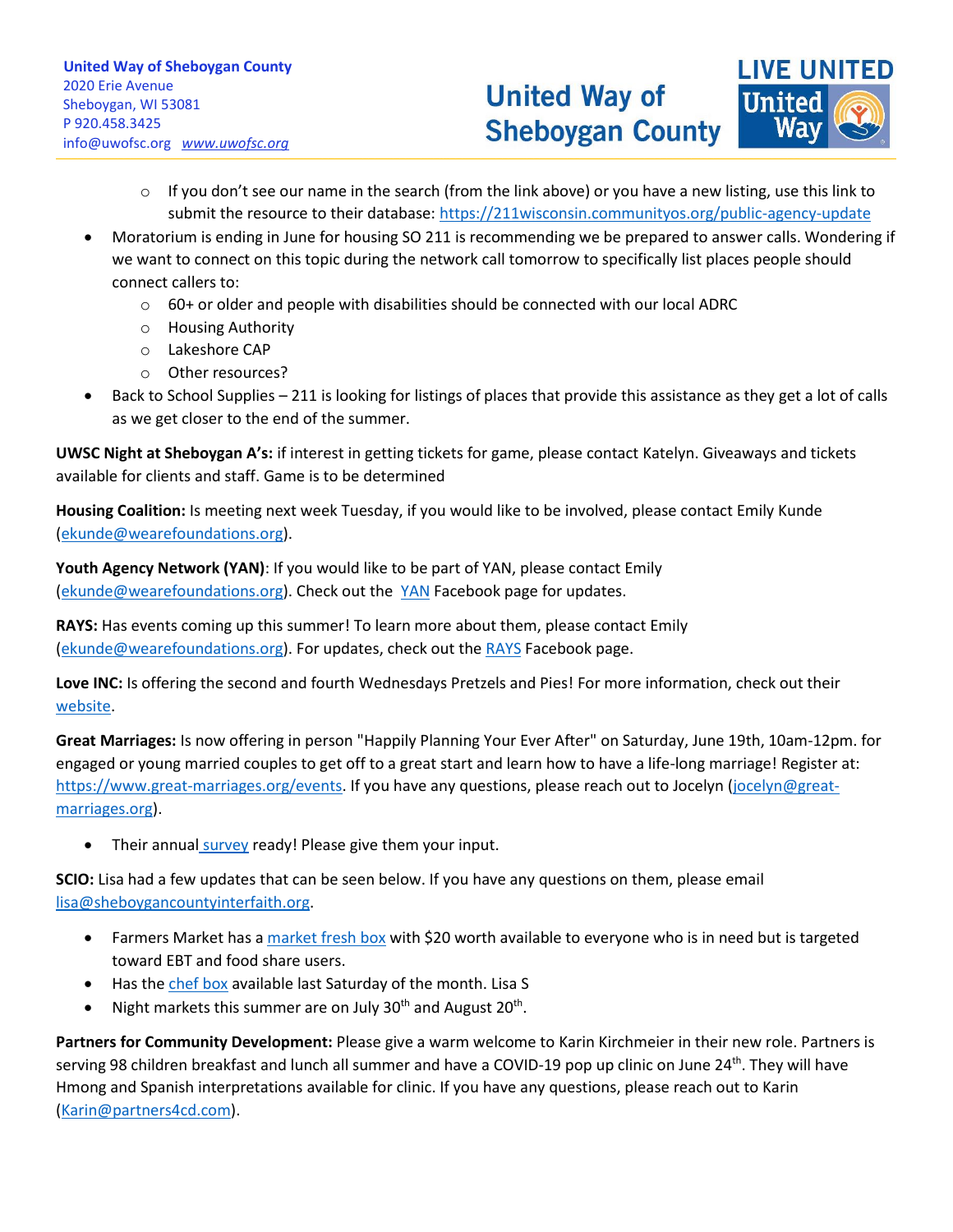

- $\circ$  If you don't see our name in the search (from the link above) or you have a new listing, use this link to submit the resource to their database:<https://211wisconsin.communityos.org/public-agency-update>
- Moratorium is ending in June for housing SO 211 is recommending we be prepared to answer calls. Wondering if we want to connect on this topic during the network call tomorrow to specifically list places people should connect callers to:

\_\_\_\_\_\_\_\_\_\_\_\_\_\_\_\_\_\_\_\_\_\_\_\_\_\_\_\_\_\_\_\_\_\_\_\_\_\_\_\_\_\_\_\_\_\_\_\_\_\_\_\_\_\_\_\_\_\_\_\_\_\_\_\_\_\_\_\_\_\_\_\_\_\_\_\_\_\_\_\_\_\_\_\_\_\_\_\_\_\_\_\_\_\_\_\_\_\_\_\_\_\_\_\_\_\_\_\_\_\_\_\_\_\_\_\_\_\_\_\_\_\_\_\_\_\_\_\_\_\_\_\_\_\_\_\_\_\_\_\_\_\_\_\_\_\_\_\_\_\_\_\_\_\_\_\_\_\_\_\_\_\_\_\_\_\_\_\_\_\_\_\_\_\_\_\_\_\_\_\_\_\_\_\_\_\_\_\_\_\_\_\_\_\_\_\_\_\_\_\_\_\_\_\_\_\_\_\_\_\_\_\_\_\_\_\_\_\_\_\_\_\_\_\_\_\_\_\_\_\_\_\_\_\_\_\_\_\_\_\_\_\_\_\_\_\_\_\_\_\_\_\_\_\_\_\_\_\_\_\_\_\_\_\_\_\_\_\_\_\_\_

- $\circ$  60+ or older and people with disabilities should be connected with our local ADRC
- o Housing Authority
- o Lakeshore CAP
- o Other resources?
- Back to School Supplies 211 is looking for listings of places that provide this assistance as they get a lot of calls as we get closer to the end of the summer.

**UWSC Night at Sheboygan A's:** if interest in getting tickets for game, please contact Katelyn. Giveaways and tickets available for clients and staff. Game is to be determined

**Housing Coalition:** Is meeting next week Tuesday, if you would like to be involved, please contact Emily Kunde [\(ekunde@wearefoundations.org\)](mailto:ekunde@wearefoundations.org).

**Youth Agency Network (YAN)**: If you would like to be part of YAN, please contact Emily [\(ekunde@wearefoundations.org\)](mailto:ekunde@wearefoundations.org). Check out the [YAN](https://www.facebook.com/YouthAgencyNetwork) Facebook page for updates.

**RAYS:** Has events coming up this summer! To learn more about them, please contact Emily [\(ekunde@wearefoundations.org\)](mailto:ekunde@wearefoundations.org). For updates, check out the [RAYS](https://www.facebook.com/RAYSSheboygan) Facebook page.

**Love INC:** Is offering the second and fourth Wednesdays Pretzels and Pies! For more information, check out their [website.](https://www.loveincsheboygancounty.org/events/2021/6/9/love-inc-booth-at-summer-concert-series-exrtr-kc943-g8ke4-x9sp3-3mrm9)

**Great Marriages:** Is now offering in person "Happily Planning Your Ever After" on Saturday, June 19th, 10am-12pm. for engaged or young married couples to get off to a great start and learn how to have a life-long marriage! Register at: [https://www.great-marriages.org/events.](https://www.great-marriages.org/events) If you have any questions, please reach out to Jocelyn [\(jocelyn@great](mailto:jocelyn@great-marriages.org)[marriages.org\)](mailto:jocelyn@great-marriages.org).

• Their annual [survey](http://survey.constantcontact.com/survey/a07ehua90uoknetufh6/start.) ready! Please give them your input.

**SCIO:** Lisa had a few updates that can be seen below. If you have any questions on them, please email [lisa@sheboygancountyinterfaith.org.](mailto:lisa@sheboygancountyinterfaith.org)

- Farmers Market has a [market fresh box](https://www.sheboygancountyinterfaith.org/market-fresh-boxes/) with \$20 worth available to everyone who is in need but is targeted toward EBT and food share users.
- Has the [chef box](https://www.sheboygancountyinterfaith.org/market-fresh-meals/) available last Saturday of the month. Lisa S
- Night markets this summer are on July 30<sup>th</sup> and August 20<sup>th</sup>.

**Partners for Community Development:** Please give a warm welcome to Karin Kirchmeier in their new role. Partners is serving 98 children breakfast and lunch all summer and have a COVID-19 pop up clinic on June 24<sup>th</sup>. They will have Hmong and Spanish interpretations available for clinic. If you have any questions, please reach out to Karin [\(Karin@partners4cd.com\)](mailto:Karin@partners4cd.com).